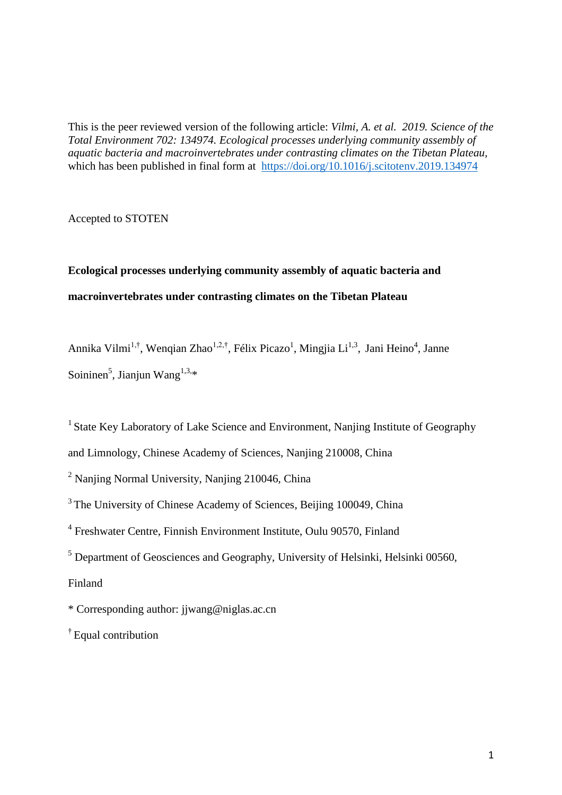This is the peer reviewed version of the following article: *Vilmi, A. et al. 2019. Science of the Total Environment 702: 134974. Ecological processes underlying community assembly of aquatic bacteria and macroinvertebrates under contrasting climates on the Tibetan Plateau,* which has been published in final form at <https://doi.org/10.1016/j.scitotenv.2019.134974>

Accepted to STOTEN

# **Ecological processes underlying community assembly of aquatic bacteria and macroinvertebrates under contrasting climates on the Tibetan Plateau**

Annika Vilmi<sup>1,†</sup>, Wenqian Zhao<sup>1,2,†</sup>, Félix Picazo<sup>1</sup>, Mingjia Li<sup>1,3</sup>, Jani Heino<sup>4</sup>, Janne Soininen<sup>5</sup>, Jianjun Wang<sup>1,3,\*</sup>

<sup>1</sup> State Key Laboratory of Lake Science and Environment, Nanjing Institute of Geography and Limnology, Chinese Academy of Sciences, Nanjing 210008, China

 $2$  Nanjing Normal University, Nanjing 210046, China

<sup>3</sup>The University of Chinese Academy of Sciences, Beijing 100049, China

<sup>4</sup> Freshwater Centre, Finnish Environment Institute, Oulu 90570, Finland

<sup>5</sup> Department of Geosciences and Geography, University of Helsinki, Helsinki 00560,

Finland

\* Corresponding author: jjwang@niglas.ac.cn

† Equal contribution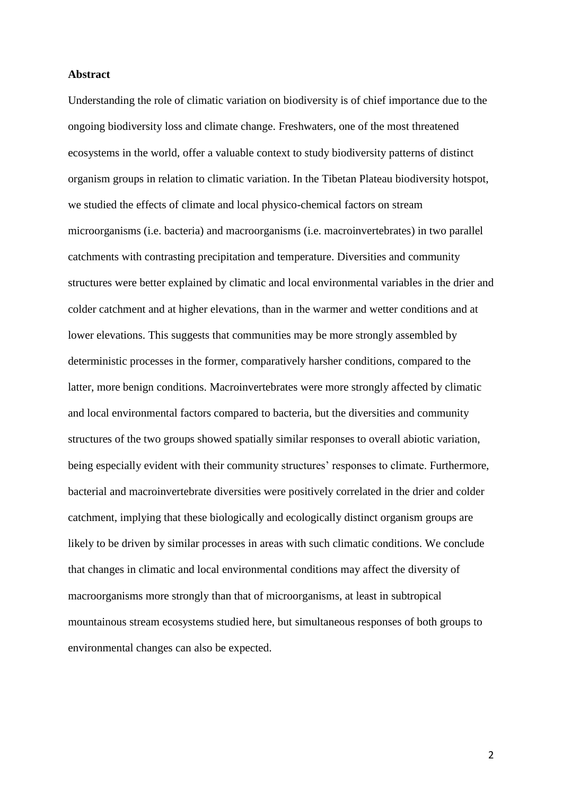## **Abstract**

Understanding the role of climatic variation on biodiversity is of chief importance due to the ongoing biodiversity loss and climate change. Freshwaters, one of the most threatened ecosystems in the world, offer a valuable context to study biodiversity patterns of distinct organism groups in relation to climatic variation. In the Tibetan Plateau biodiversity hotspot, we studied the effects of climate and local physico-chemical factors on stream microorganisms (i.e. bacteria) and macroorganisms (i.e. macroinvertebrates) in two parallel catchments with contrasting precipitation and temperature. Diversities and community structures were better explained by climatic and local environmental variables in the drier and colder catchment and at higher elevations, than in the warmer and wetter conditions and at lower elevations. This suggests that communities may be more strongly assembled by deterministic processes in the former, comparatively harsher conditions, compared to the latter, more benign conditions. Macroinvertebrates were more strongly affected by climatic and local environmental factors compared to bacteria, but the diversities and community structures of the two groups showed spatially similar responses to overall abiotic variation, being especially evident with their community structures' responses to climate. Furthermore, bacterial and macroinvertebrate diversities were positively correlated in the drier and colder catchment, implying that these biologically and ecologically distinct organism groups are likely to be driven by similar processes in areas with such climatic conditions. We conclude that changes in climatic and local environmental conditions may affect the diversity of macroorganisms more strongly than that of microorganisms, at least in subtropical mountainous stream ecosystems studied here, but simultaneous responses of both groups to environmental changes can also be expected.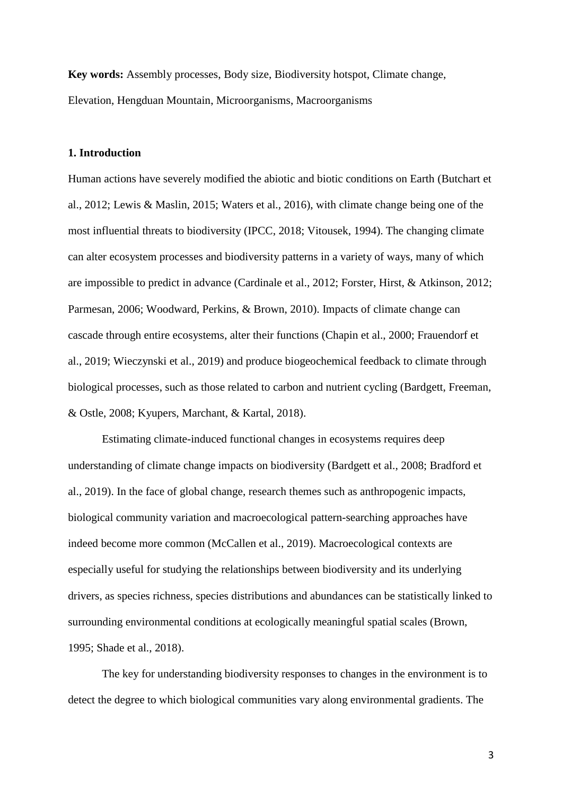**Key words:** Assembly processes, Body size, Biodiversity hotspot, Climate change, Elevation, Hengduan Mountain, Microorganisms, Macroorganisms

## **1. Introduction**

Human actions have severely modified the abiotic and biotic conditions on Earth (Butchart et al., 2012; Lewis & Maslin, 2015; Waters et al., 2016), with climate change being one of the most influential threats to biodiversity (IPCC, 2018; Vitousek, 1994). The changing climate can alter ecosystem processes and biodiversity patterns in a variety of ways, many of which are impossible to predict in advance (Cardinale et al., 2012; Forster, Hirst, & Atkinson, 2012; Parmesan, 2006; Woodward, Perkins, & Brown, 2010). Impacts of climate change can cascade through entire ecosystems, alter their functions (Chapin et al., 2000; Frauendorf et al., 2019; Wieczynski et al., 2019) and produce biogeochemical feedback to climate through biological processes, such as those related to carbon and nutrient cycling (Bardgett, Freeman, & Ostle, 2008; Kyupers, Marchant, & Kartal, 2018).

Estimating climate-induced functional changes in ecosystems requires deep understanding of climate change impacts on biodiversity (Bardgett et al., 2008; Bradford et al., 2019). In the face of global change, research themes such as anthropogenic impacts, biological community variation and macroecological pattern-searching approaches have indeed become more common (McCallen et al., 2019). Macroecological contexts are especially useful for studying the relationships between biodiversity and its underlying drivers, as species richness, species distributions and abundances can be statistically linked to surrounding environmental conditions at ecologically meaningful spatial scales (Brown, 1995; Shade et al., 2018).

The key for understanding biodiversity responses to changes in the environment is to detect the degree to which biological communities vary along environmental gradients. The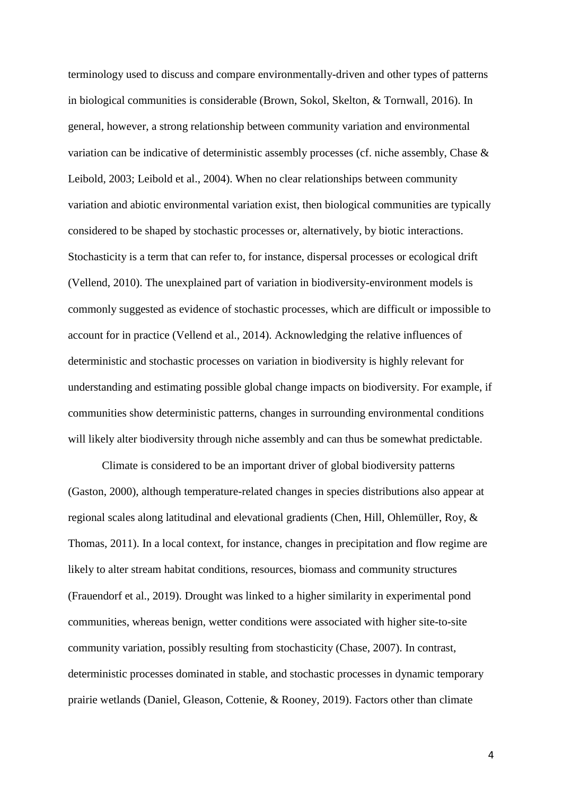terminology used to discuss and compare environmentally-driven and other types of patterns in biological communities is considerable (Brown, Sokol, Skelton, & Tornwall, 2016). In general, however, a strong relationship between community variation and environmental variation can be indicative of deterministic assembly processes (cf. niche assembly, Chase & Leibold, 2003; Leibold et al., 2004). When no clear relationships between community variation and abiotic environmental variation exist, then biological communities are typically considered to be shaped by stochastic processes or, alternatively, by biotic interactions. Stochasticity is a term that can refer to, for instance, dispersal processes or ecological drift (Vellend, 2010). The unexplained part of variation in biodiversity-environment models is commonly suggested as evidence of stochastic processes, which are difficult or impossible to account for in practice (Vellend et al., 2014). Acknowledging the relative influences of deterministic and stochastic processes on variation in biodiversity is highly relevant for understanding and estimating possible global change impacts on biodiversity. For example, if communities show deterministic patterns, changes in surrounding environmental conditions will likely alter biodiversity through niche assembly and can thus be somewhat predictable.

Climate is considered to be an important driver of global biodiversity patterns (Gaston, 2000), although temperature-related changes in species distributions also appear at regional scales along latitudinal and elevational gradients (Chen, Hill, Ohlemüller, Roy, & Thomas, 2011). In a local context, for instance, changes in precipitation and flow regime are likely to alter stream habitat conditions, resources, biomass and community structures (Frauendorf et al., 2019). Drought was linked to a higher similarity in experimental pond communities, whereas benign, wetter conditions were associated with higher site-to-site community variation, possibly resulting from stochasticity (Chase, 2007). In contrast, deterministic processes dominated in stable, and stochastic processes in dynamic temporary prairie wetlands (Daniel, Gleason, Cottenie, & Rooney, 2019). Factors other than climate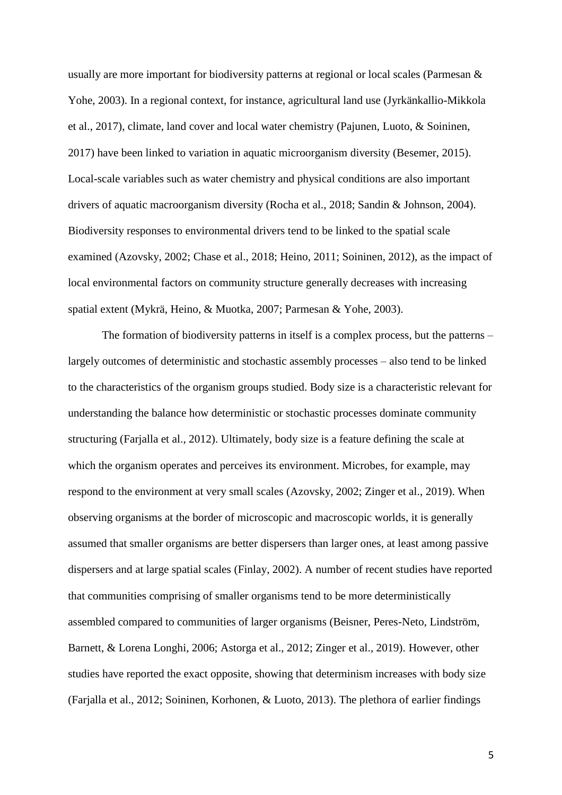usually are more important for biodiversity patterns at regional or local scales (Parmesan & Yohe, 2003). In a regional context, for instance, agricultural land use (Jyrkänkallio-Mikkola et al., 2017), climate, land cover and local water chemistry (Pajunen, Luoto, & Soininen, 2017) have been linked to variation in aquatic microorganism diversity (Besemer, 2015). Local-scale variables such as water chemistry and physical conditions are also important drivers of aquatic macroorganism diversity (Rocha et al., 2018; Sandin & Johnson, 2004). Biodiversity responses to environmental drivers tend to be linked to the spatial scale examined (Azovsky, 2002; Chase et al., 2018; Heino, 2011; Soininen, 2012), as the impact of local environmental factors on community structure generally decreases with increasing spatial extent (Mykrä, Heino, & Muotka, 2007; Parmesan & Yohe, 2003).

The formation of biodiversity patterns in itself is a complex process, but the patterns – largely outcomes of deterministic and stochastic assembly processes – also tend to be linked to the characteristics of the organism groups studied. Body size is a characteristic relevant for understanding the balance how deterministic or stochastic processes dominate community structuring (Farjalla et al., 2012). Ultimately, body size is a feature defining the scale at which the organism operates and perceives its environment. Microbes, for example, may respond to the environment at very small scales (Azovsky, 2002; Zinger et al., 2019). When observing organisms at the border of microscopic and macroscopic worlds, it is generally assumed that smaller organisms are better dispersers than larger ones, at least among passive dispersers and at large spatial scales (Finlay, 2002). A number of recent studies have reported that communities comprising of smaller organisms tend to be more deterministically assembled compared to communities of larger organisms (Beisner, Peres-Neto, Lindström, Barnett, & Lorena Longhi, 2006; Astorga et al., 2012; Zinger et al., 2019). However, other studies have reported the exact opposite, showing that determinism increases with body size (Farjalla et al., 2012; Soininen, Korhonen, & Luoto, 2013). The plethora of earlier findings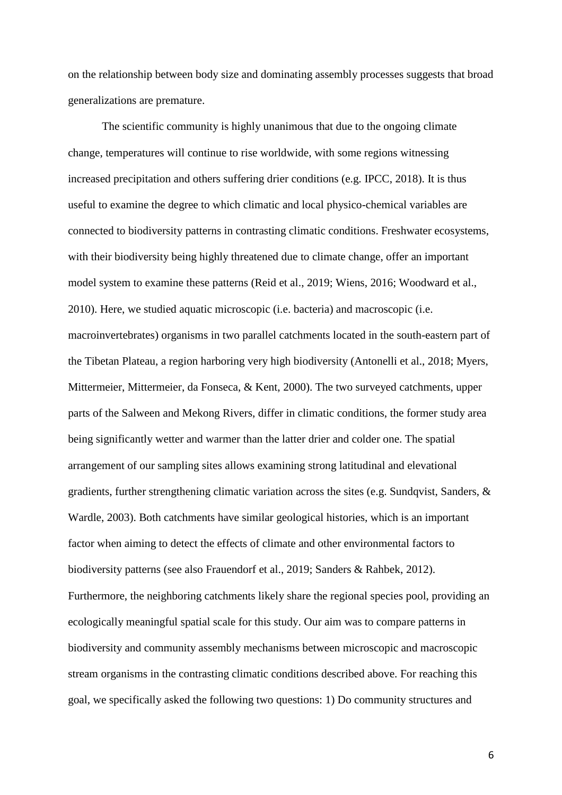on the relationship between body size and dominating assembly processes suggests that broad generalizations are premature.

The scientific community is highly unanimous that due to the ongoing climate change, temperatures will continue to rise worldwide, with some regions witnessing increased precipitation and others suffering drier conditions (e.g. IPCC, 2018). It is thus useful to examine the degree to which climatic and local physico-chemical variables are connected to biodiversity patterns in contrasting climatic conditions. Freshwater ecosystems, with their biodiversity being highly threatened due to climate change, offer an important model system to examine these patterns (Reid et al., 2019; Wiens, 2016; Woodward et al., 2010). Here, we studied aquatic microscopic (i.e. bacteria) and macroscopic (i.e. macroinvertebrates) organisms in two parallel catchments located in the south-eastern part of the Tibetan Plateau, a region harboring very high biodiversity (Antonelli et al., 2018; Myers, Mittermeier, Mittermeier, da Fonseca, & Kent, 2000). The two surveyed catchments, upper parts of the Salween and Mekong Rivers, differ in climatic conditions, the former study area being significantly wetter and warmer than the latter drier and colder one. The spatial arrangement of our sampling sites allows examining strong latitudinal and elevational gradients, further strengthening climatic variation across the sites (e.g. Sundqvist, Sanders, & Wardle, 2003). Both catchments have similar geological histories, which is an important factor when aiming to detect the effects of climate and other environmental factors to biodiversity patterns (see also Frauendorf et al., 2019; Sanders & Rahbek, 2012). Furthermore, the neighboring catchments likely share the regional species pool, providing an ecologically meaningful spatial scale for this study. Our aim was to compare patterns in biodiversity and community assembly mechanisms between microscopic and macroscopic stream organisms in the contrasting climatic conditions described above. For reaching this goal, we specifically asked the following two questions: 1) Do community structures and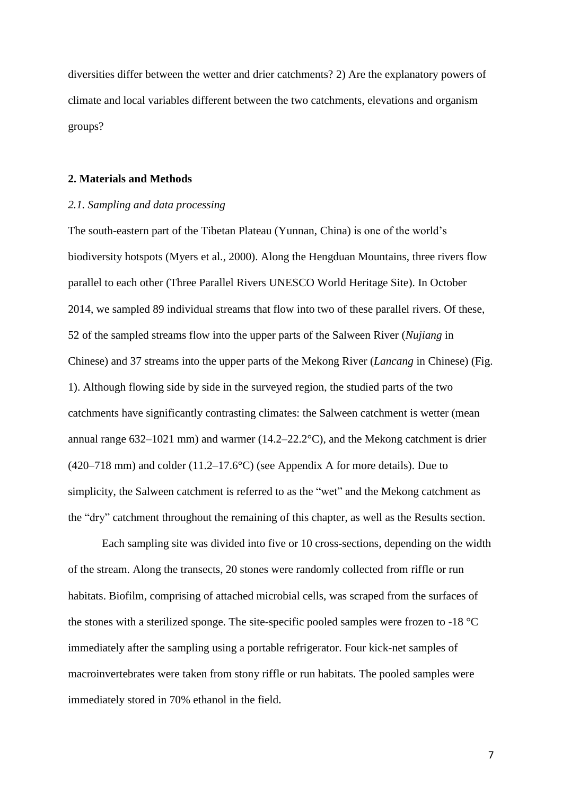diversities differ between the wetter and drier catchments? 2) Are the explanatory powers of climate and local variables different between the two catchments, elevations and organism groups?

#### **2. Materials and Methods**

## *2.1. Sampling and data processing*

The south-eastern part of the Tibetan Plateau (Yunnan, China) is one of the world's biodiversity hotspots (Myers et al., 2000). Along the Hengduan Mountains, three rivers flow parallel to each other (Three Parallel Rivers UNESCO World Heritage Site). In October 2014, we sampled 89 individual streams that flow into two of these parallel rivers. Of these, 52 of the sampled streams flow into the upper parts of the Salween River (*Nujiang* in Chinese) and 37 streams into the upper parts of the Mekong River (*Lancang* in Chinese) (Fig. 1). Although flowing side by side in the surveyed region, the studied parts of the two catchments have significantly contrasting climates: the Salween catchment is wetter (mean annual range 632–1021 mm) and warmer (14.2–22.2°C), and the Mekong catchment is drier (420–718 mm) and colder  $(11.2-17.6^{\circ}C)$  (see Appendix A for more details). Due to simplicity, the Salween catchment is referred to as the "wet" and the Mekong catchment as the "dry" catchment throughout the remaining of this chapter, as well as the Results section.

Each sampling site was divided into five or 10 cross-sections, depending on the width of the stream. Along the transects, 20 stones were randomly collected from riffle or run habitats. Biofilm, comprising of attached microbial cells, was scraped from the surfaces of the stones with a sterilized sponge. The site-specific pooled samples were frozen to -18 °C immediately after the sampling using a portable refrigerator. Four kick-net samples of macroinvertebrates were taken from stony riffle or run habitats. The pooled samples were immediately stored in 70% ethanol in the field.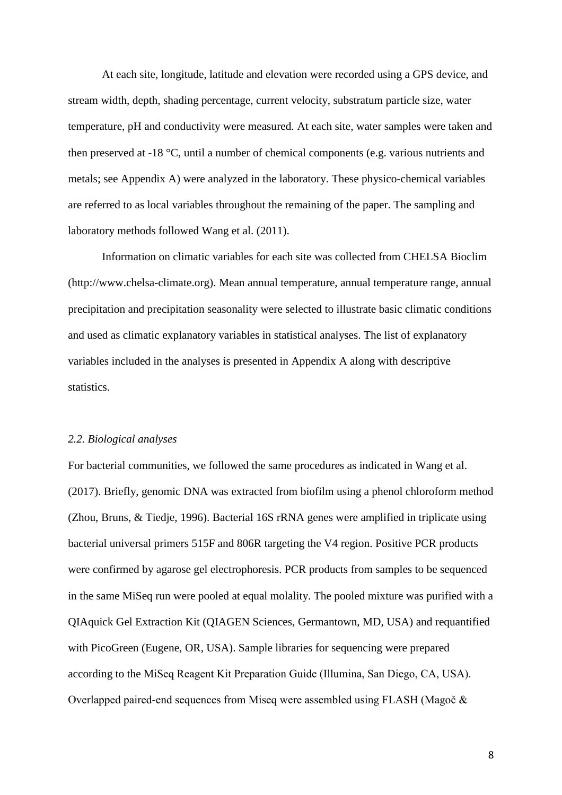At each site, longitude, latitude and elevation were recorded using a GPS device, and stream width, depth, shading percentage, current velocity, substratum particle size, water temperature, pH and conductivity were measured. At each site, water samples were taken and then preserved at -18 °C, until a number of chemical components (e.g. various nutrients and metals; see Appendix A) were analyzed in the laboratory. These physico-chemical variables are referred to as local variables throughout the remaining of the paper. The sampling and laboratory methods followed Wang et al. (2011).

Information on climatic variables for each site was collected from CHELSA Bioclim (http://www.chelsa-climate.org). Mean annual temperature, annual temperature range, annual precipitation and precipitation seasonality were selected to illustrate basic climatic conditions and used as climatic explanatory variables in statistical analyses. The list of explanatory variables included in the analyses is presented in Appendix A along with descriptive statistics.

## *2.2. Biological analyses*

For bacterial communities, we followed the same procedures as indicated in Wang et al. (2017). Briefly, genomic DNA was extracted from biofilm using a phenol chloroform method (Zhou, Bruns, & Tiedje, 1996). Bacterial 16S rRNA genes were amplified in triplicate using bacterial universal primers 515F and 806R targeting the V4 region. Positive PCR products were confirmed by agarose gel electrophoresis. PCR products from samples to be sequenced in the same MiSeq run were pooled at equal molality. The pooled mixture was purified with a QIAquick Gel Extraction Kit (QIAGEN Sciences, Germantown, MD, USA) and requantified with PicoGreen (Eugene, OR, USA). Sample libraries for sequencing were prepared according to the MiSeq Reagent Kit Preparation Guide (Illumina, San Diego, CA, USA). Overlapped paired-end sequences from Miseq were assembled using FLASH (Magoč &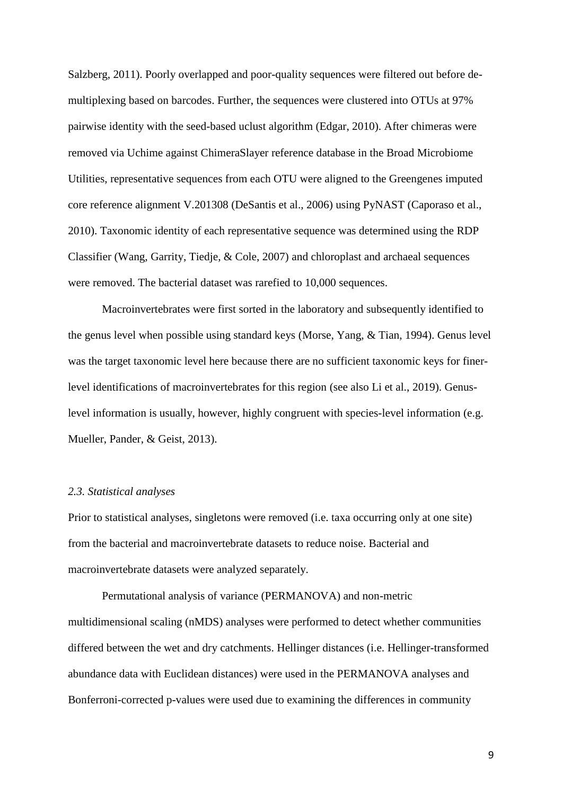Salzberg, 2011). Poorly overlapped and poor-quality sequences were filtered out before demultiplexing based on barcodes. Further, the sequences were clustered into OTUs at 97% pairwise identity with the seed-based uclust algorithm (Edgar, 2010). After chimeras were removed via Uchime against ChimeraSlayer reference database in the Broad Microbiome Utilities, representative sequences from each OTU were aligned to the Greengenes imputed core reference alignment V.201308 (DeSantis et al., 2006) using PyNAST (Caporaso et al., 2010). Taxonomic identity of each representative sequence was determined using the RDP Classifier (Wang, Garrity, Tiedje, & Cole, 2007) and chloroplast and archaeal sequences were removed. The bacterial dataset was rarefied to 10,000 sequences.

Macroinvertebrates were first sorted in the laboratory and subsequently identified to the genus level when possible using standard keys (Morse, Yang, & Tian, 1994). Genus level was the target taxonomic level here because there are no sufficient taxonomic keys for finerlevel identifications of macroinvertebrates for this region (see also Li et al., 2019). Genuslevel information is usually, however, highly congruent with species-level information (e.g. Mueller, Pander, & Geist, 2013).

## *2.3. Statistical analyses*

Prior to statistical analyses, singletons were removed (i.e. taxa occurring only at one site) from the bacterial and macroinvertebrate datasets to reduce noise. Bacterial and macroinvertebrate datasets were analyzed separately.

Permutational analysis of variance (PERMANOVA) and non-metric multidimensional scaling (nMDS) analyses were performed to detect whether communities differed between the wet and dry catchments. Hellinger distances (i.e. Hellinger-transformed abundance data with Euclidean distances) were used in the PERMANOVA analyses and Bonferroni-corrected p-values were used due to examining the differences in community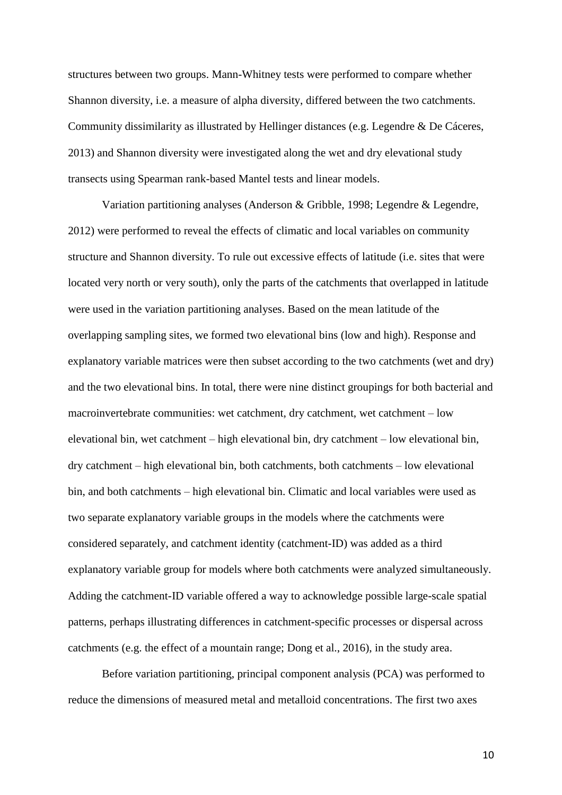structures between two groups. Mann-Whitney tests were performed to compare whether Shannon diversity, i.e. a measure of alpha diversity, differed between the two catchments. Community dissimilarity as illustrated by Hellinger distances (e.g. Legendre & De Cáceres, 2013) and Shannon diversity were investigated along the wet and dry elevational study transects using Spearman rank-based Mantel tests and linear models.

Variation partitioning analyses (Anderson & Gribble, 1998; Legendre & Legendre, 2012) were performed to reveal the effects of climatic and local variables on community structure and Shannon diversity. To rule out excessive effects of latitude (i.e. sites that were located very north or very south), only the parts of the catchments that overlapped in latitude were used in the variation partitioning analyses. Based on the mean latitude of the overlapping sampling sites, we formed two elevational bins (low and high). Response and explanatory variable matrices were then subset according to the two catchments (wet and dry) and the two elevational bins. In total, there were nine distinct groupings for both bacterial and macroinvertebrate communities: wet catchment, dry catchment, wet catchment – low elevational bin, wet catchment – high elevational bin, dry catchment – low elevational bin, dry catchment – high elevational bin, both catchments, both catchments – low elevational bin, and both catchments – high elevational bin. Climatic and local variables were used as two separate explanatory variable groups in the models where the catchments were considered separately, and catchment identity (catchment-ID) was added as a third explanatory variable group for models where both catchments were analyzed simultaneously. Adding the catchment-ID variable offered a way to acknowledge possible large-scale spatial patterns, perhaps illustrating differences in catchment-specific processes or dispersal across catchments (e.g. the effect of a mountain range; Dong et al., 2016), in the study area.

Before variation partitioning, principal component analysis (PCA) was performed to reduce the dimensions of measured metal and metalloid concentrations. The first two axes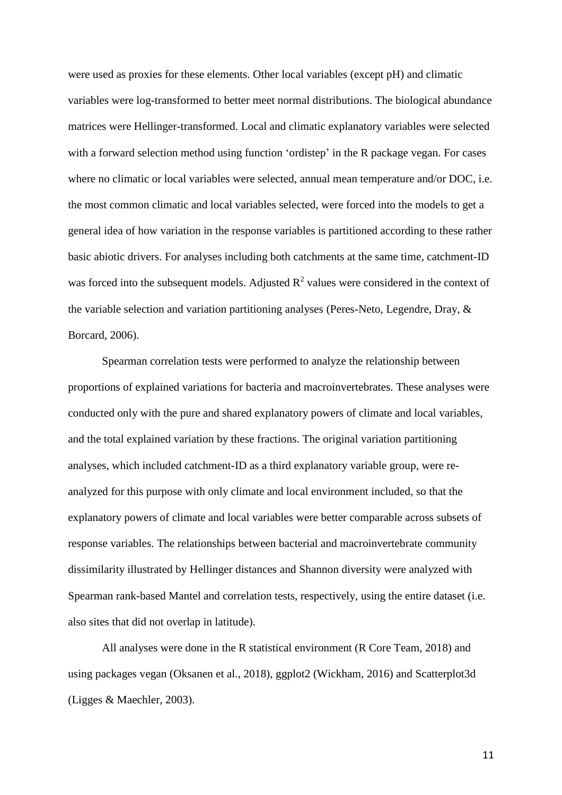were used as proxies for these elements. Other local variables (except pH) and climatic variables were log-transformed to better meet normal distributions. The biological abundance matrices were Hellinger-transformed. Local and climatic explanatory variables were selected with a forward selection method using function 'ordistep' in the R package vegan. For cases where no climatic or local variables were selected, annual mean temperature and/or DOC, i.e. the most common climatic and local variables selected, were forced into the models to get a general idea of how variation in the response variables is partitioned according to these rather basic abiotic drivers. For analyses including both catchments at the same time, catchment-ID was forced into the subsequent models. Adjusted  $R^2$  values were considered in the context of the variable selection and variation partitioning analyses (Peres-Neto, Legendre, Dray, & Borcard, 2006).

Spearman correlation tests were performed to analyze the relationship between proportions of explained variations for bacteria and macroinvertebrates. These analyses were conducted only with the pure and shared explanatory powers of climate and local variables, and the total explained variation by these fractions. The original variation partitioning analyses, which included catchment-ID as a third explanatory variable group, were reanalyzed for this purpose with only climate and local environment included, so that the explanatory powers of climate and local variables were better comparable across subsets of response variables. The relationships between bacterial and macroinvertebrate community dissimilarity illustrated by Hellinger distances and Shannon diversity were analyzed with Spearman rank-based Mantel and correlation tests, respectively, using the entire dataset (i.e. also sites that did not overlap in latitude).

All analyses were done in the R statistical environment (R Core Team, 2018) and using packages vegan (Oksanen et al., 2018), ggplot2 (Wickham, 2016) and Scatterplot3d (Ligges & Maechler, 2003).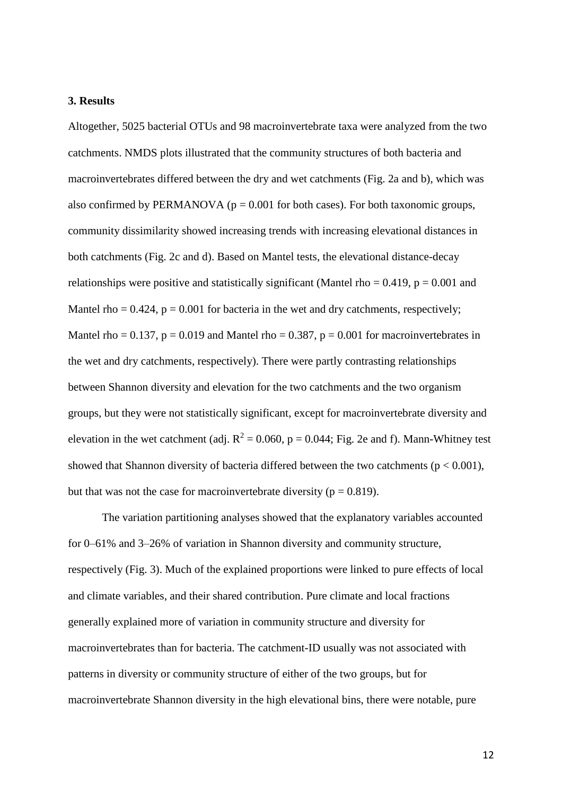#### **3. Results**

Altogether, 5025 bacterial OTUs and 98 macroinvertebrate taxa were analyzed from the two catchments. NMDS plots illustrated that the community structures of both bacteria and macroinvertebrates differed between the dry and wet catchments (Fig. 2a and b), which was also confirmed by PERMANOVA ( $p = 0.001$  for both cases). For both taxonomic groups, community dissimilarity showed increasing trends with increasing elevational distances in both catchments (Fig. 2c and d). Based on Mantel tests, the elevational distance-decay relationships were positive and statistically significant (Mantel rho =  $0.419$ , p =  $0.001$  and Mantel rho  $= 0.424$ ,  $p = 0.001$  for bacteria in the wet and dry catchments, respectively; Mantel rho =  $0.137$ , p =  $0.019$  and Mantel rho =  $0.387$ , p =  $0.001$  for macroinvertebrates in the wet and dry catchments, respectively). There were partly contrasting relationships between Shannon diversity and elevation for the two catchments and the two organism groups, but they were not statistically significant, except for macroinvertebrate diversity and elevation in the wet catchment (adj.  $R^2 = 0.060$ ,  $p = 0.044$ ; Fig. 2e and f). Mann-Whitney test showed that Shannon diversity of bacteria differed between the two catchments ( $p < 0.001$ ), but that was not the case for macroinvertebrate diversity ( $p = 0.819$ ).

The variation partitioning analyses showed that the explanatory variables accounted for 0–61% and 3–26% of variation in Shannon diversity and community structure, respectively (Fig. 3). Much of the explained proportions were linked to pure effects of local and climate variables, and their shared contribution. Pure climate and local fractions generally explained more of variation in community structure and diversity for macroinvertebrates than for bacteria. The catchment-ID usually was not associated with patterns in diversity or community structure of either of the two groups, but for macroinvertebrate Shannon diversity in the high elevational bins, there were notable, pure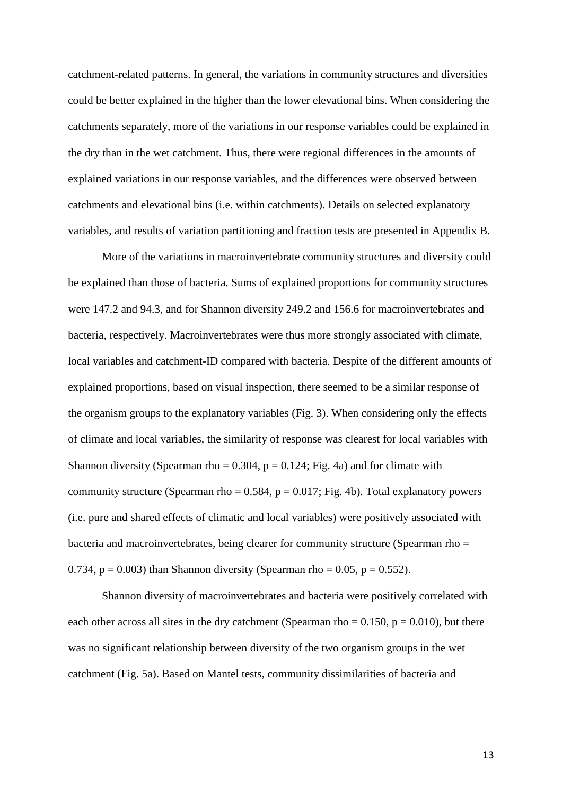catchment-related patterns. In general, the variations in community structures and diversities could be better explained in the higher than the lower elevational bins. When considering the catchments separately, more of the variations in our response variables could be explained in the dry than in the wet catchment. Thus, there were regional differences in the amounts of explained variations in our response variables, and the differences were observed between catchments and elevational bins (i.e. within catchments). Details on selected explanatory variables, and results of variation partitioning and fraction tests are presented in Appendix B.

More of the variations in macroinvertebrate community structures and diversity could be explained than those of bacteria. Sums of explained proportions for community structures were 147.2 and 94.3, and for Shannon diversity 249.2 and 156.6 for macroinvertebrates and bacteria, respectively. Macroinvertebrates were thus more strongly associated with climate, local variables and catchment-ID compared with bacteria. Despite of the different amounts of explained proportions, based on visual inspection, there seemed to be a similar response of the organism groups to the explanatory variables (Fig. 3). When considering only the effects of climate and local variables, the similarity of response was clearest for local variables with Shannon diversity (Spearman rho =  $0.304$ , p =  $0.124$ ; Fig. 4a) and for climate with community structure (Spearman rho =  $0.584$ , p =  $0.017$ ; Fig. 4b). Total explanatory powers (i.e. pure and shared effects of climatic and local variables) were positively associated with bacteria and macroinvertebrates, being clearer for community structure (Spearman rho = 0.734,  $p = 0.003$ ) than Shannon diversity (Spearman rho = 0.05,  $p = 0.552$ ).

Shannon diversity of macroinvertebrates and bacteria were positively correlated with each other across all sites in the dry catchment (Spearman rho =  $0.150$ , p =  $0.010$ ), but there was no significant relationship between diversity of the two organism groups in the wet catchment (Fig. 5a). Based on Mantel tests, community dissimilarities of bacteria and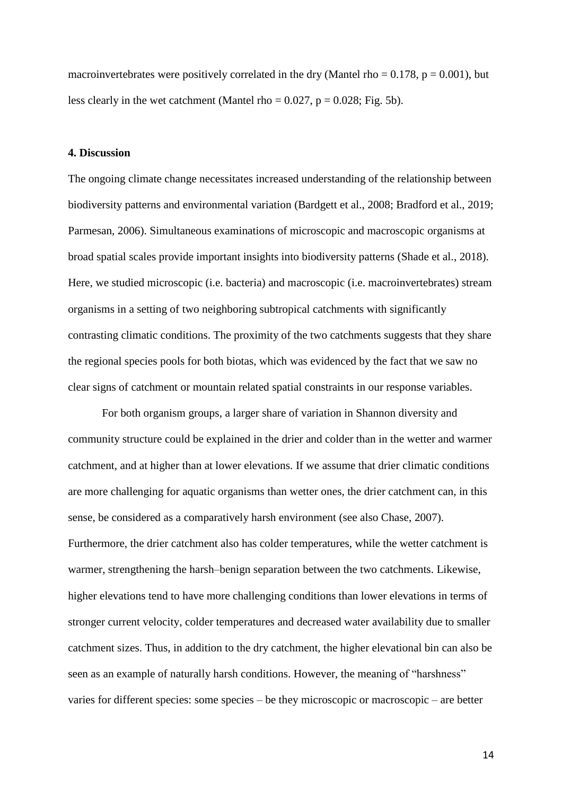macroinvertebrates were positively correlated in the dry (Mantel rho =  $0.178$ , p =  $0.001$ ), but less clearly in the wet catchment (Mantel rho =  $0.027$ , p =  $0.028$ ; Fig. 5b).

## **4. Discussion**

The ongoing climate change necessitates increased understanding of the relationship between biodiversity patterns and environmental variation (Bardgett et al., 2008; Bradford et al., 2019; Parmesan, 2006). Simultaneous examinations of microscopic and macroscopic organisms at broad spatial scales provide important insights into biodiversity patterns (Shade et al., 2018). Here, we studied microscopic (i.e. bacteria) and macroscopic (i.e. macroinvertebrates) stream organisms in a setting of two neighboring subtropical catchments with significantly contrasting climatic conditions. The proximity of the two catchments suggests that they share the regional species pools for both biotas, which was evidenced by the fact that we saw no clear signs of catchment or mountain related spatial constraints in our response variables.

For both organism groups, a larger share of variation in Shannon diversity and community structure could be explained in the drier and colder than in the wetter and warmer catchment, and at higher than at lower elevations. If we assume that drier climatic conditions are more challenging for aquatic organisms than wetter ones, the drier catchment can, in this sense, be considered as a comparatively harsh environment (see also Chase, 2007). Furthermore, the drier catchment also has colder temperatures, while the wetter catchment is warmer, strengthening the harsh–benign separation between the two catchments. Likewise, higher elevations tend to have more challenging conditions than lower elevations in terms of stronger current velocity, colder temperatures and decreased water availability due to smaller catchment sizes. Thus, in addition to the dry catchment, the higher elevational bin can also be seen as an example of naturally harsh conditions. However, the meaning of "harshness" varies for different species: some species – be they microscopic or macroscopic – are better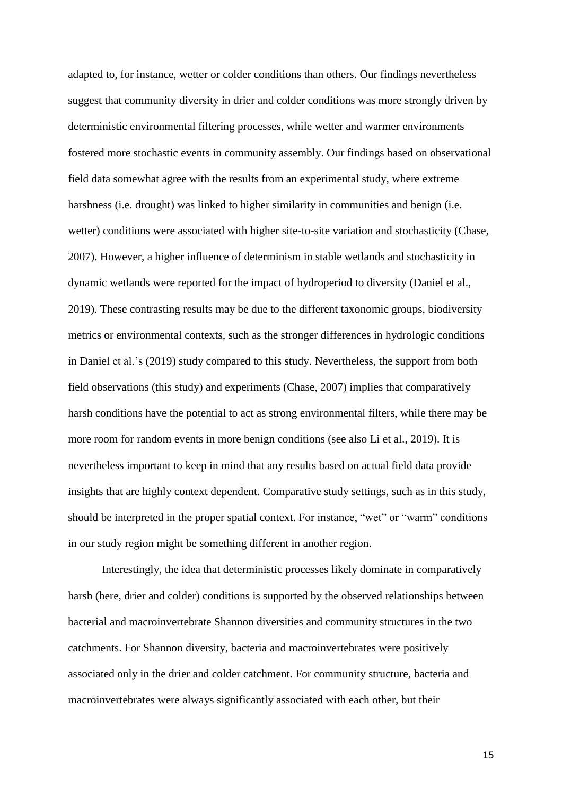adapted to, for instance, wetter or colder conditions than others. Our findings nevertheless suggest that community diversity in drier and colder conditions was more strongly driven by deterministic environmental filtering processes, while wetter and warmer environments fostered more stochastic events in community assembly. Our findings based on observational field data somewhat agree with the results from an experimental study, where extreme harshness (i.e. drought) was linked to higher similarity in communities and benign (i.e. wetter) conditions were associated with higher site-to-site variation and stochasticity (Chase, 2007). However, a higher influence of determinism in stable wetlands and stochasticity in dynamic wetlands were reported for the impact of hydroperiod to diversity (Daniel et al., 2019). These contrasting results may be due to the different taxonomic groups, biodiversity metrics or environmental contexts, such as the stronger differences in hydrologic conditions in Daniel et al.'s (2019) study compared to this study. Nevertheless, the support from both field observations (this study) and experiments (Chase, 2007) implies that comparatively harsh conditions have the potential to act as strong environmental filters, while there may be more room for random events in more benign conditions (see also Li et al., 2019). It is nevertheless important to keep in mind that any results based on actual field data provide insights that are highly context dependent. Comparative study settings, such as in this study, should be interpreted in the proper spatial context. For instance, "wet" or "warm" conditions in our study region might be something different in another region.

Interestingly, the idea that deterministic processes likely dominate in comparatively harsh (here, drier and colder) conditions is supported by the observed relationships between bacterial and macroinvertebrate Shannon diversities and community structures in the two catchments. For Shannon diversity, bacteria and macroinvertebrates were positively associated only in the drier and colder catchment. For community structure, bacteria and macroinvertebrates were always significantly associated with each other, but their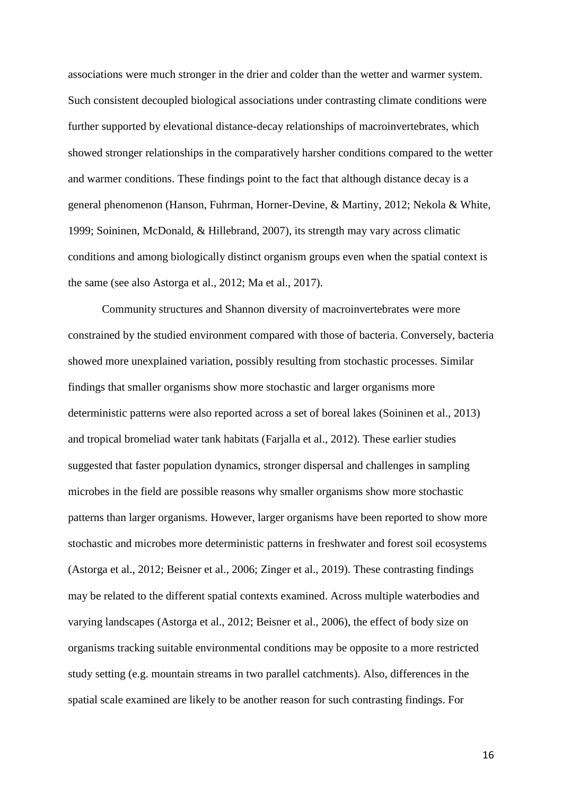associations were much stronger in the drier and colder than the wetter and warmer system. Such consistent decoupled biological associations under contrasting climate conditions were further supported by elevational distance-decay relationships of macroinvertebrates, which showed stronger relationships in the comparatively harsher conditions compared to the wetter and warmer conditions. These findings point to the fact that although distance decay is a general phenomenon (Hanson, Fuhrman, Horner-Devine, & Martiny, 2012; Nekola & White, 1999; Soininen, McDonald, & Hillebrand, 2007), its strength may vary across climatic conditions and among biologically distinct organism groups even when the spatial context is the same (see also Astorga et al., 2012; Ma et al., 2017).

Community structures and Shannon diversity of macroinvertebrates were more constrained by the studied environment compared with those of bacteria. Conversely, bacteria showed more unexplained variation, possibly resulting from stochastic processes. Similar findings that smaller organisms show more stochastic and larger organisms more deterministic patterns were also reported across a set of boreal lakes (Soininen et al., 2013) and tropical bromeliad water tank habitats (Farjalla et al., 2012). These earlier studies suggested that faster population dynamics, stronger dispersal and challenges in sampling microbes in the field are possible reasons why smaller organisms show more stochastic patterns than larger organisms. However, larger organisms have been reported to show more stochastic and microbes more deterministic patterns in freshwater and forest soil ecosystems (Astorga et al., 2012; Beisner et al., 2006; Zinger et al., 2019). These contrasting findings may be related to the different spatial contexts examined. Across multiple waterbodies and varying landscapes (Astorga et al., 2012; Beisner et al., 2006), the effect of body size on organisms tracking suitable environmental conditions may be opposite to a more restricted study setting (e.g. mountain streams in two parallel catchments). Also, differences in the spatial scale examined are likely to be another reason for such contrasting findings. For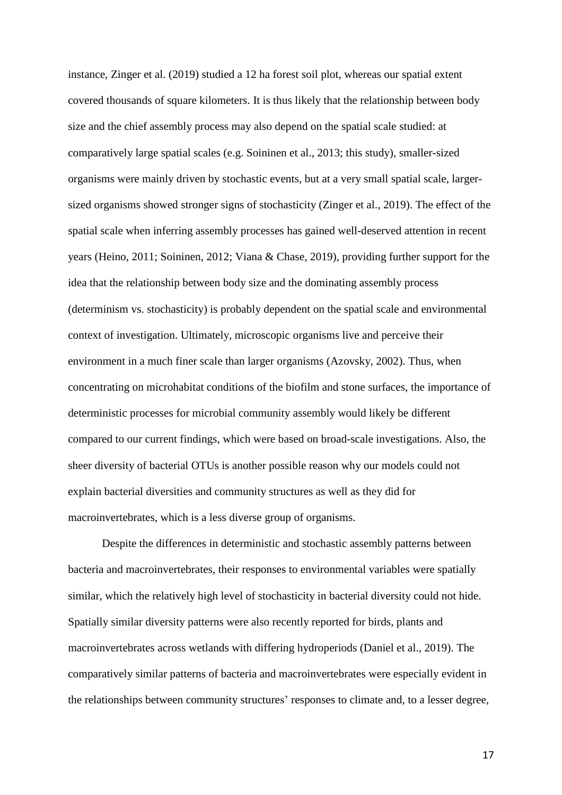instance, Zinger et al. (2019) studied a 12 ha forest soil plot, whereas our spatial extent covered thousands of square kilometers. It is thus likely that the relationship between body size and the chief assembly process may also depend on the spatial scale studied: at comparatively large spatial scales (e.g. Soininen et al., 2013; this study), smaller-sized organisms were mainly driven by stochastic events, but at a very small spatial scale, largersized organisms showed stronger signs of stochasticity (Zinger et al., 2019). The effect of the spatial scale when inferring assembly processes has gained well-deserved attention in recent years (Heino, 2011; Soininen, 2012; Viana & Chase, 2019), providing further support for the idea that the relationship between body size and the dominating assembly process (determinism vs. stochasticity) is probably dependent on the spatial scale and environmental context of investigation. Ultimately, microscopic organisms live and perceive their environment in a much finer scale than larger organisms (Azovsky, 2002). Thus, when concentrating on microhabitat conditions of the biofilm and stone surfaces, the importance of deterministic processes for microbial community assembly would likely be different compared to our current findings, which were based on broad-scale investigations. Also, the sheer diversity of bacterial OTUs is another possible reason why our models could not explain bacterial diversities and community structures as well as they did for macroinvertebrates, which is a less diverse group of organisms.

Despite the differences in deterministic and stochastic assembly patterns between bacteria and macroinvertebrates, their responses to environmental variables were spatially similar, which the relatively high level of stochasticity in bacterial diversity could not hide. Spatially similar diversity patterns were also recently reported for birds, plants and macroinvertebrates across wetlands with differing hydroperiods (Daniel et al., 2019). The comparatively similar patterns of bacteria and macroinvertebrates were especially evident in the relationships between community structures' responses to climate and, to a lesser degree,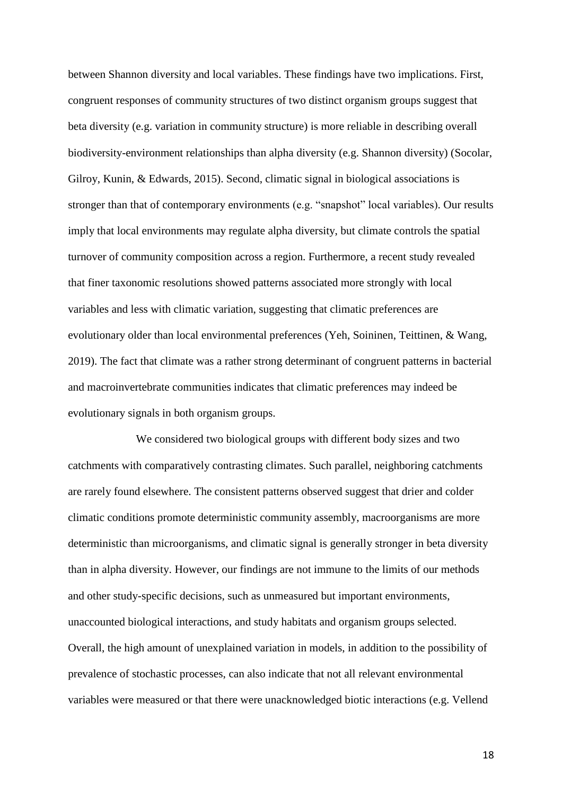between Shannon diversity and local variables. These findings have two implications. First, congruent responses of community structures of two distinct organism groups suggest that beta diversity (e.g. variation in community structure) is more reliable in describing overall biodiversity-environment relationships than alpha diversity (e.g. Shannon diversity) (Socolar, Gilroy, Kunin, & Edwards, 2015). Second, climatic signal in biological associations is stronger than that of contemporary environments (e.g. "snapshot" local variables). Our results imply that local environments may regulate alpha diversity, but climate controls the spatial turnover of community composition across a region. Furthermore, a recent study revealed that finer taxonomic resolutions showed patterns associated more strongly with local variables and less with climatic variation, suggesting that climatic preferences are evolutionary older than local environmental preferences (Yeh, Soininen, Teittinen, & Wang, 2019). The fact that climate was a rather strong determinant of congruent patterns in bacterial and macroinvertebrate communities indicates that climatic preferences may indeed be evolutionary signals in both organism groups.

We considered two biological groups with different body sizes and two catchments with comparatively contrasting climates. Such parallel, neighboring catchments are rarely found elsewhere. The consistent patterns observed suggest that drier and colder climatic conditions promote deterministic community assembly, macroorganisms are more deterministic than microorganisms, and climatic signal is generally stronger in beta diversity than in alpha diversity. However, our findings are not immune to the limits of our methods and other study-specific decisions, such as unmeasured but important environments, unaccounted biological interactions, and study habitats and organism groups selected. Overall, the high amount of unexplained variation in models, in addition to the possibility of prevalence of stochastic processes, can also indicate that not all relevant environmental variables were measured or that there were unacknowledged biotic interactions (e.g. Vellend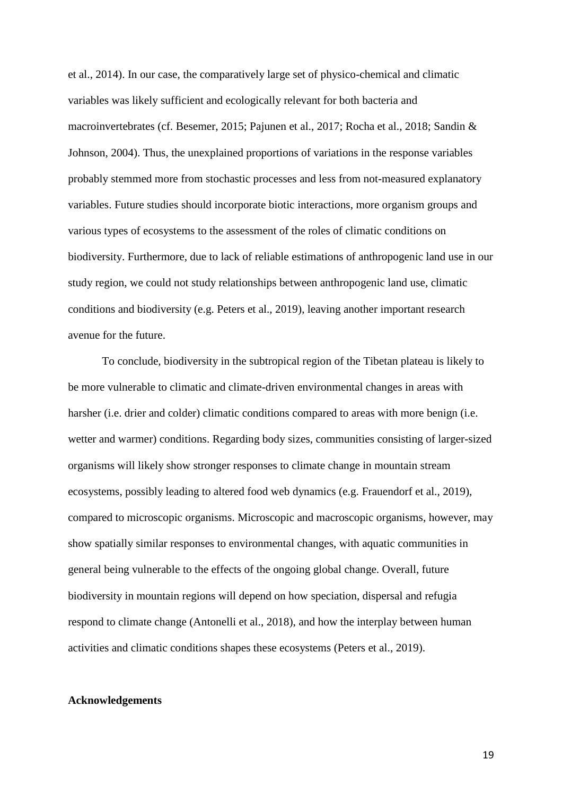et al., 2014). In our case, the comparatively large set of physico-chemical and climatic variables was likely sufficient and ecologically relevant for both bacteria and macroinvertebrates (cf. Besemer, 2015; Pajunen et al., 2017; Rocha et al., 2018; Sandin & Johnson, 2004). Thus, the unexplained proportions of variations in the response variables probably stemmed more from stochastic processes and less from not-measured explanatory variables. Future studies should incorporate biotic interactions, more organism groups and various types of ecosystems to the assessment of the roles of climatic conditions on biodiversity. Furthermore, due to lack of reliable estimations of anthropogenic land use in our study region, we could not study relationships between anthropogenic land use, climatic conditions and biodiversity (e.g. Peters et al., 2019), leaving another important research avenue for the future.

To conclude, biodiversity in the subtropical region of the Tibetan plateau is likely to be more vulnerable to climatic and climate-driven environmental changes in areas with harsher (i.e. drier and colder) climatic conditions compared to areas with more benign (i.e. wetter and warmer) conditions. Regarding body sizes, communities consisting of larger-sized organisms will likely show stronger responses to climate change in mountain stream ecosystems, possibly leading to altered food web dynamics (e.g. Frauendorf et al., 2019), compared to microscopic organisms. Microscopic and macroscopic organisms, however, may show spatially similar responses to environmental changes, with aquatic communities in general being vulnerable to the effects of the ongoing global change. Overall, future biodiversity in mountain regions will depend on how speciation, dispersal and refugia respond to climate change (Antonelli et al., 2018), and how the interplay between human activities and climatic conditions shapes these ecosystems (Peters et al., 2019).

## **Acknowledgements**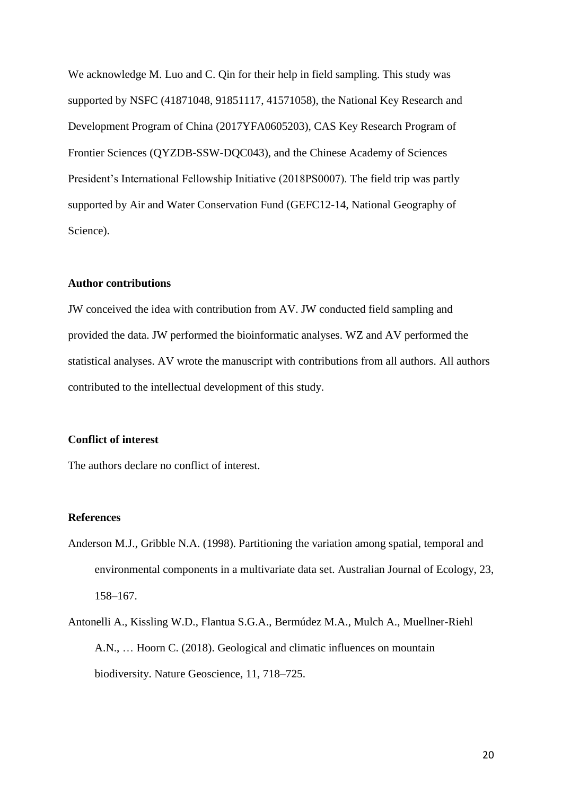We acknowledge M. Luo and C. Qin for their help in field sampling. This study was supported by NSFC (41871048, 91851117, 41571058), the National Key Research and Development Program of China (2017YFA0605203), CAS Key Research Program of Frontier Sciences (QYZDB-SSW-DQC043), and the Chinese Academy of Sciences President's International Fellowship Initiative (2018PS0007). The field trip was partly supported by Air and Water Conservation Fund (GEFC12-14, National Geography of Science).

## **Author contributions**

JW conceived the idea with contribution from AV. JW conducted field sampling and provided the data. JW performed the bioinformatic analyses. WZ and AV performed the statistical analyses. AV wrote the manuscript with contributions from all authors. All authors contributed to the intellectual development of this study.

## **Conflict of interest**

The authors declare no conflict of interest.

#### **References**

- Anderson M.J., Gribble N.A. (1998). Partitioning the variation among spatial, temporal and environmental components in a multivariate data set. Australian Journal of Ecology, 23, 158–167.
- Antonelli A., Kissling W.D., Flantua S.G.A., Bermúdez M.A., Mulch A., Muellner-Riehl A.N., … Hoorn C. (2018). Geological and climatic influences on mountain biodiversity. Nature Geoscience, 11, 718–725.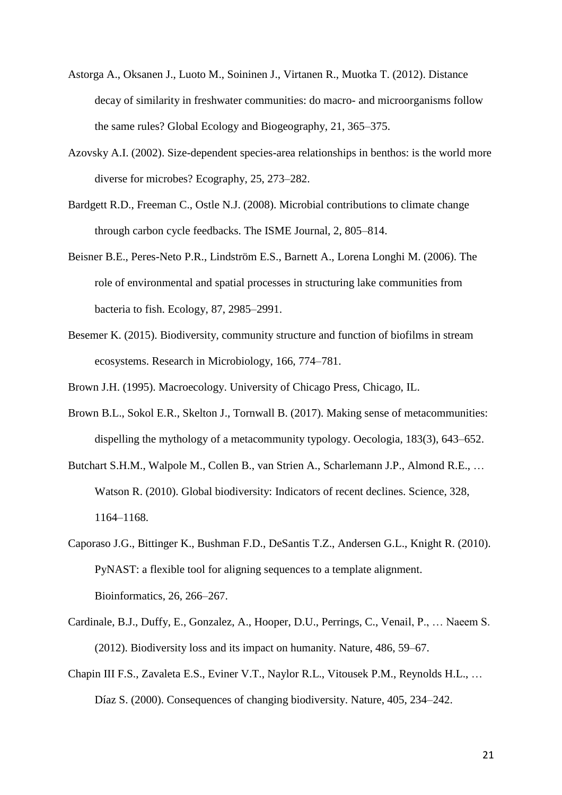- Astorga A., Oksanen J., Luoto M., Soininen J., Virtanen R., Muotka T. (2012). Distance decay of similarity in freshwater communities: do macro- and microorganisms follow the same rules? Global Ecology and Biogeography, 21, 365–375.
- Azovsky A.I. (2002). Size-dependent species-area relationships in benthos: is the world more diverse for microbes? Ecography, 25, 273–282.
- Bardgett R.D., Freeman C., Ostle N.J. (2008). Microbial contributions to climate change through carbon cycle feedbacks. The ISME Journal, 2, 805–814.
- Beisner B.E., Peres-Neto P.R., Lindström E.S., Barnett A., Lorena Longhi M. (2006). The role of environmental and spatial processes in structuring lake communities from bacteria to fish. Ecology, 87, 2985–2991.
- Besemer K. (2015). Biodiversity, community structure and function of biofilms in stream ecosystems. Research in Microbiology, 166, 774–781.

Brown J.H. (1995). Macroecology. University of Chicago Press, Chicago, IL.

- Brown B.L., Sokol E.R., Skelton J., Tornwall B. (2017). Making sense of metacommunities: dispelling the mythology of a metacommunity typology. Oecologia, 183(3), 643–652.
- Butchart S.H.M., Walpole M., Collen B., van Strien A., Scharlemann J.P., Almond R.E., … Watson R. (2010). Global biodiversity: Indicators of recent declines. Science, 328, 1164–1168.
- Caporaso J.G., Bittinger K., Bushman F.D., DeSantis T.Z., Andersen G.L., Knight R. (2010). PyNAST: a flexible tool for aligning sequences to a template alignment. Bioinformatics, 26, 266–267.
- Cardinale, B.J., Duffy, E., Gonzalez, A., Hooper, D.U., Perrings, C., Venail, P., … Naeem S. (2012). Biodiversity loss and its impact on humanity. Nature, 486, 59–67.
- Chapin III F.S., Zavaleta E.S., Eviner V.T., Naylor R.L., Vitousek P.M., Reynolds H.L., … Díaz S. (2000). Consequences of changing biodiversity. Nature, 405, 234–242.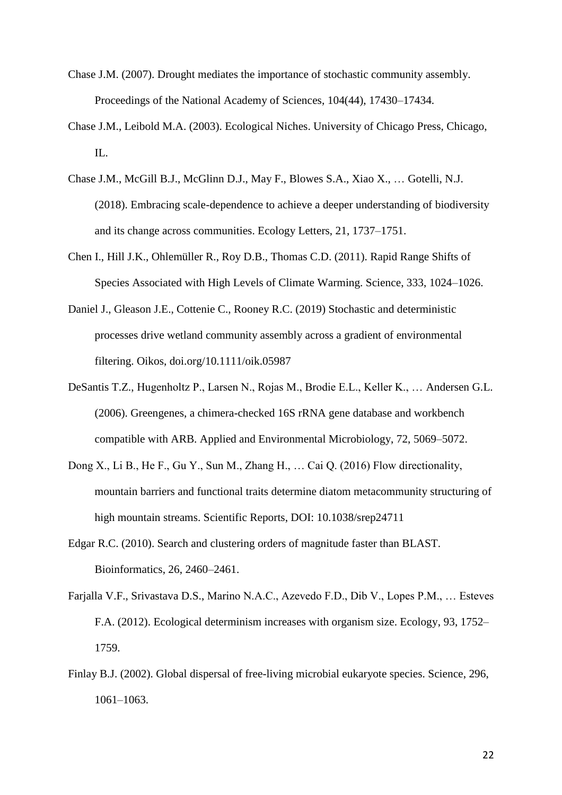- Chase J.M. (2007). Drought mediates the importance of stochastic community assembly. Proceedings of the National Academy of Sciences, 104(44), 17430–17434.
- Chase J.M., Leibold M.A. (2003). Ecological Niches. University of Chicago Press, Chicago, IL.
- Chase J.M., McGill B.J., McGlinn D.J., May F., Blowes S.A., Xiao X., … Gotelli, N.J. (2018). Embracing scale-dependence to achieve a deeper understanding of biodiversity and its change across communities. Ecology Letters, 21, 1737–1751.
- Chen I., Hill J.K., Ohlemüller R., Roy D.B., Thomas C.D. (2011). Rapid Range Shifts of Species Associated with High Levels of Climate Warming. Science, 333, 1024–1026.
- Daniel J., Gleason J.E., Cottenie C., Rooney R.C. (2019) Stochastic and deterministic processes drive wetland community assembly across a gradient of environmental filtering. Oikos, doi.org/10.1111/oik.05987
- DeSantis T.Z., Hugenholtz P., Larsen N., Rojas M., Brodie E.L., Keller K., … Andersen G.L. (2006). Greengenes, a chimera-checked 16S rRNA gene database and workbench compatible with ARB. Applied and Environmental Microbiology, 72, 5069–5072.
- Dong X., Li B., He F., Gu Y., Sun M., Zhang H., … Cai Q. (2016) Flow directionality, mountain barriers and functional traits determine diatom metacommunity structuring of high mountain streams. Scientific Reports, DOI: 10.1038/srep24711
- Edgar R.C. (2010). Search and clustering orders of magnitude faster than BLAST. Bioinformatics, 26, 2460–2461.
- Farjalla V.F., Srivastava D.S., Marino N.A.C., Azevedo F.D., Dib V., Lopes P.M., … Esteves F.A. (2012). Ecological determinism increases with organism size. Ecology, 93, 1752– 1759.
- Finlay B.J. (2002). Global dispersal of free-living microbial eukaryote species. Science, 296, 1061–1063.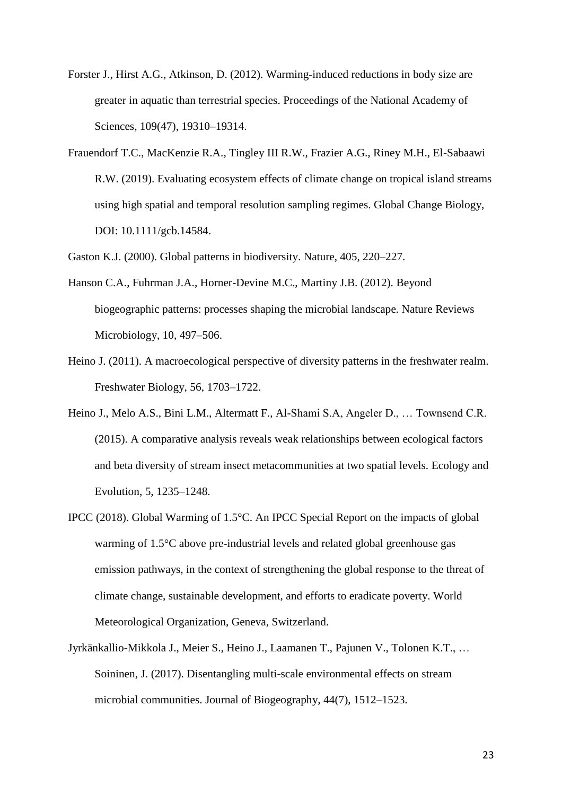- Forster J., Hirst A.G., Atkinson, D. (2012). Warming-induced reductions in body size are greater in aquatic than terrestrial species. Proceedings of the National Academy of Sciences, 109(47), 19310–19314.
- Frauendorf T.C., MacKenzie R.A., Tingley III R.W., Frazier A.G., Riney M.H., El-Sabaawi R.W. (2019). Evaluating ecosystem effects of climate change on tropical island streams using high spatial and temporal resolution sampling regimes. Global Change Biology, DOI: 10.1111/gcb.14584.

Gaston K.J. (2000). Global patterns in biodiversity. Nature, 405, 220–227.

- Hanson C.A., Fuhrman J.A., Horner-Devine M.C., Martiny J.B. (2012). Beyond biogeographic patterns: processes shaping the microbial landscape. Nature Reviews Microbiology, 10, 497–506.
- Heino J. (2011). A macroecological perspective of diversity patterns in the freshwater realm. Freshwater Biology, 56, 1703–1722.
- Heino J., Melo A.S., Bini L.M., Altermatt F., Al-Shami S.A, Angeler D., … Townsend C.R. (2015). A comparative analysis reveals weak relationships between ecological factors and beta diversity of stream insect metacommunities at two spatial levels. Ecology and Evolution, 5, 1235–1248.
- IPCC (2018). Global Warming of 1.5°C. An IPCC Special Report on the impacts of global warming of 1.5°C above pre-industrial levels and related global greenhouse gas emission pathways, in the context of strengthening the global response to the threat of climate change, sustainable development, and efforts to eradicate poverty. World Meteorological Organization, Geneva, Switzerland.
- Jyrkänkallio-Mikkola J., Meier S., Heino J., Laamanen T., Pajunen V., Tolonen K.T., … Soininen, J. (2017). Disentangling multi-scale environmental effects on stream microbial communities. Journal of Biogeography, 44(7), 1512–1523.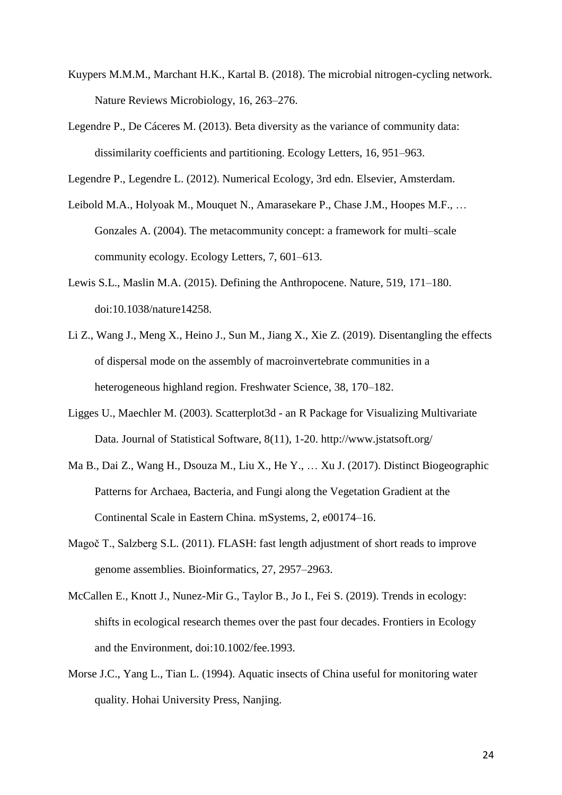- Kuypers M.M.M., Marchant H.K., Kartal B. (2018). The microbial nitrogen-cycling network. Nature Reviews Microbiology, 16, 263–276.
- Legendre P., De Cáceres M. (2013). Beta diversity as the variance of community data: dissimilarity coefficients and partitioning. Ecology Letters, 16, 951–963.

Legendre P., Legendre L. (2012). Numerical Ecology, 3rd edn. Elsevier, Amsterdam.

- Leibold M.A., Holyoak M., Mouquet N., Amarasekare P., Chase J.M., Hoopes M.F., … Gonzales A. (2004). The metacommunity concept: a framework for multi–scale community ecology. Ecology Letters, 7, 601–613.
- Lewis S.L., Maslin M.A. (2015). Defining the Anthropocene. Nature, 519, 171–180. doi:10.1038/nature14258.
- Li Z., Wang J., Meng X., Heino J., Sun M., Jiang X., Xie Z. (2019). Disentangling the effects of dispersal mode on the assembly of macroinvertebrate communities in a heterogeneous highland region. Freshwater Science, 38, 170–182.
- Ligges U., Maechler M. (2003). Scatterplot3d an R Package for Visualizing Multivariate Data. Journal of Statistical Software, 8(11), 1-20. http://www.jstatsoft.org/
- Ma B., Dai Z., Wang H., Dsouza M., Liu X., He Y., … Xu J. (2017). Distinct Biogeographic Patterns for Archaea, Bacteria, and Fungi along the Vegetation Gradient at the Continental Scale in Eastern China. mSystems, 2, e00174–16.
- Magoč T., Salzberg S.L. (2011). FLASH: fast length adjustment of short reads to improve genome assemblies. Bioinformatics, 27, 2957–2963.
- McCallen E., Knott J., Nunez-Mir G., Taylor B., Jo I., Fei S. (2019). Trends in ecology: shifts in ecological research themes over the past four decades. Frontiers in Ecology and the Environment, doi:10.1002/fee.1993.
- Morse J.C., Yang L., Tian L. (1994). Aquatic insects of China useful for monitoring water quality. Hohai University Press, Nanjing.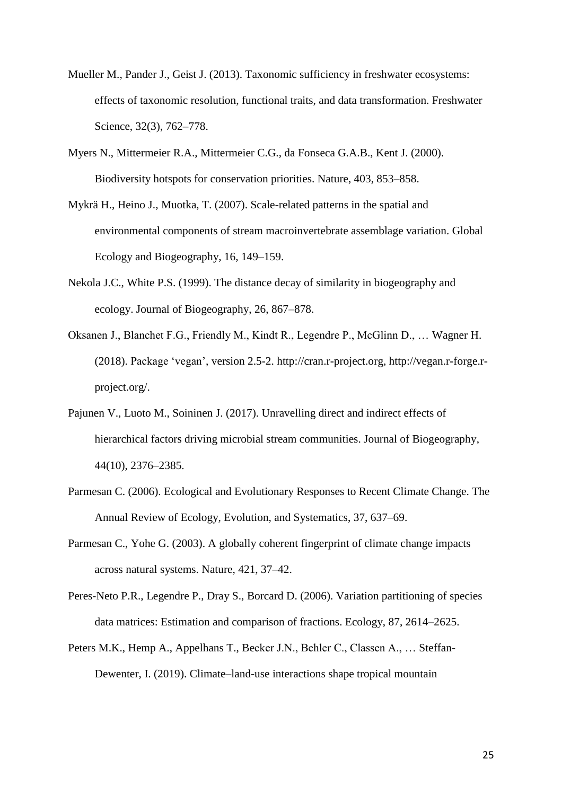- Mueller M., Pander J., Geist J. (2013). Taxonomic sufficiency in freshwater ecosystems: effects of taxonomic resolution, functional traits, and data transformation. Freshwater Science, 32(3), 762–778.
- Myers N., Mittermeier R.A., Mittermeier C.G., da Fonseca G.A.B., Kent J. (2000). Biodiversity hotspots for conservation priorities. Nature, 403, 853–858.
- Mykrä H., Heino J., Muotka, T. (2007). Scale-related patterns in the spatial and environmental components of stream macroinvertebrate assemblage variation. Global Ecology and Biogeography, 16, 149–159.
- Nekola J.C., White P.S. (1999). The distance decay of similarity in biogeography and ecology. Journal of Biogeography, 26, 867–878.
- Oksanen J., Blanchet F.G., Friendly M., Kindt R., Legendre P., McGlinn D., … Wagner H. (2018). Package 'vegan', version 2.5-2. http://cran.r-project.org, http://vegan.r-forge.rproject.org/.
- Pajunen V., Luoto M., Soininen J. (2017). Unravelling direct and indirect effects of hierarchical factors driving microbial stream communities. Journal of Biogeography, 44(10), 2376–2385.
- Parmesan C. (2006). Ecological and Evolutionary Responses to Recent Climate Change. The Annual Review of Ecology, Evolution, and Systematics, 37, 637–69.
- Parmesan C., Yohe G. (2003). A globally coherent fingerprint of climate change impacts across natural systems. Nature, 421, 37–42.
- Peres-Neto P.R., Legendre P., Dray S., Borcard D. (2006). Variation partitioning of species data matrices: Estimation and comparison of fractions. Ecology, 87, 2614–2625.
- Peters M.K., Hemp A., Appelhans T., Becker J.N., Behler C., Classen A., … Steffan-Dewenter, I. (2019). Climate–land-use interactions shape tropical mountain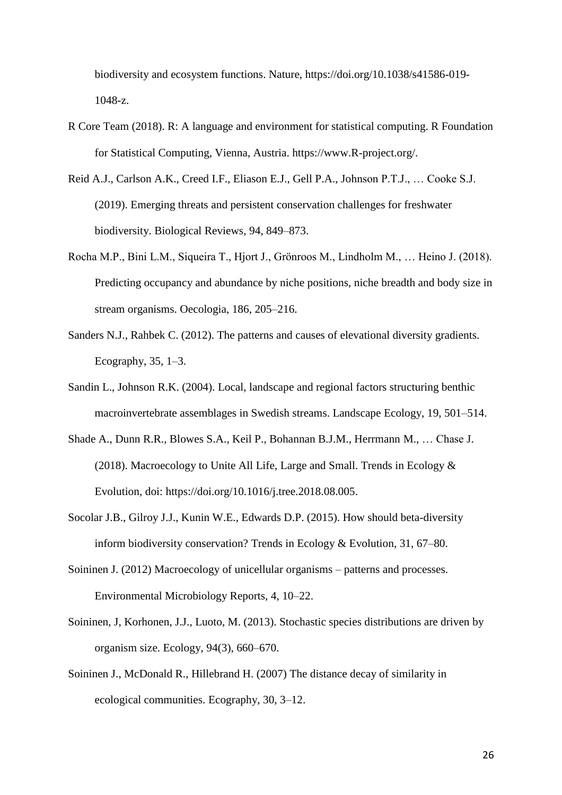biodiversity and ecosystem functions. Nature, https://doi.org/10.1038/s41586-019- 1048-z.

- R Core Team (2018). R: A language and environment for statistical computing. R Foundation for Statistical Computing, Vienna, Austria. https://www.R-project.org/.
- Reid A.J., Carlson A.K., Creed I.F., Eliason E.J., Gell P.A., Johnson P.T.J., … Cooke S.J. (2019). Emerging threats and persistent conservation challenges for freshwater biodiversity. Biological Reviews, 94, 849–873.
- Rocha M.P., Bini L.M., Siqueira T., Hjort J., Grönroos M., Lindholm M., … Heino J. (2018). Predicting occupancy and abundance by niche positions, niche breadth and body size in stream organisms. Oecologia, 186, 205–216.
- Sanders N.J., Rahbek C. (2012). The patterns and causes of elevational diversity gradients. Ecography, 35, 1–3.
- Sandin L., Johnson R.K. (2004). Local, landscape and regional factors structuring benthic macroinvertebrate assemblages in Swedish streams. Landscape Ecology, 19, 501–514.
- Shade A., Dunn R.R., Blowes S.A., Keil P., Bohannan B.J.M., Herrmann M., … Chase J. (2018). Macroecology to Unite All Life, Large and Small. Trends in Ecology & Evolution, doi: https://doi.org/10.1016/j.tree.2018.08.005.
- Socolar J.B., Gilroy J.J., Kunin W.E., Edwards D.P. (2015). How should beta-diversity inform biodiversity conservation? Trends in Ecology & Evolution, 31, 67–80.
- Soininen J. (2012) Macroecology of unicellular organisms patterns and processes. Environmental Microbiology Reports, 4, 10–22.
- Soininen, J, Korhonen, J.J., Luoto, M. (2013). Stochastic species distributions are driven by organism size. Ecology, 94(3), 660–670.
- Soininen J., McDonald R., Hillebrand H. (2007) The distance decay of similarity in ecological communities. Ecography, 30, 3–12.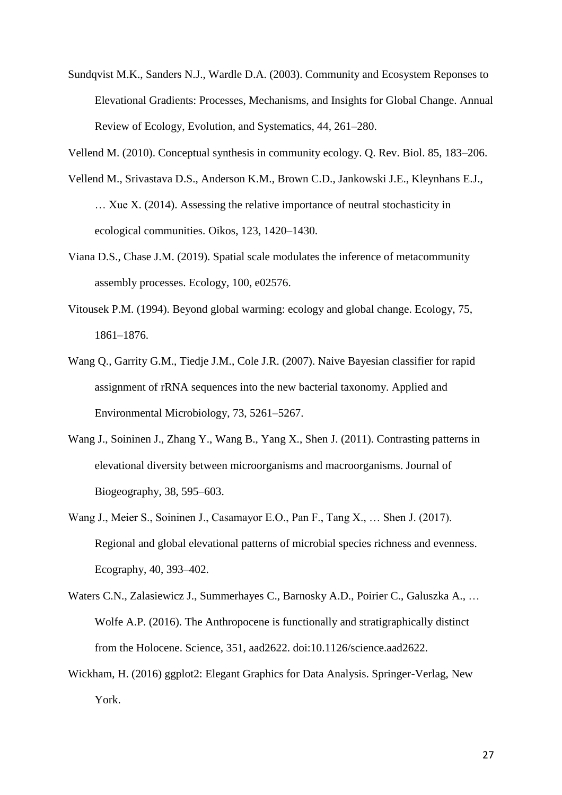- Sundqvist M.K., Sanders N.J., Wardle D.A. (2003). Community and Ecosystem Reponses to Elevational Gradients: Processes, Mechanisms, and Insights for Global Change. Annual Review of Ecology, Evolution, and Systematics, 44, 261–280.
- Vellend M. (2010). Conceptual synthesis in community ecology. Q. Rev. Biol. 85, 183–206.
- Vellend M., Srivastava D.S., Anderson K.M., Brown C.D., Jankowski J.E., Kleynhans E.J., … Xue X. (2014). Assessing the relative importance of neutral stochasticity in ecological communities. Oikos, 123, 1420–1430.
- Viana D.S., Chase J.M. (2019). Spatial scale modulates the inference of metacommunity assembly processes. Ecology, 100, e02576.
- Vitousek P.M. (1994). Beyond global warming: ecology and global change. Ecology, 75, 1861–1876.
- Wang Q., Garrity G.M., Tiedje J.M., Cole J.R. (2007). Naive Bayesian classifier for rapid assignment of rRNA sequences into the new bacterial taxonomy. Applied and Environmental Microbiology, 73, 5261–5267.
- Wang J., Soininen J., Zhang Y., Wang B., Yang X., Shen J. (2011). Contrasting patterns in elevational diversity between microorganisms and macroorganisms. Journal of Biogeography, 38, 595–603.
- Wang J., Meier S., Soininen J., Casamayor E.O., Pan F., Tang X., … Shen J. (2017). Regional and global elevational patterns of microbial species richness and evenness. Ecography, 40, 393–402.
- Waters C.N., Zalasiewicz J., Summerhayes C., Barnosky A.D., Poirier C., Galuszka A., … Wolfe A.P. (2016). The Anthropocene is functionally and stratigraphically distinct from the Holocene. Science, 351, aad2622. doi:10.1126/science.aad2622.
- Wickham, H. (2016) ggplot2: Elegant Graphics for Data Analysis. Springer-Verlag, New York.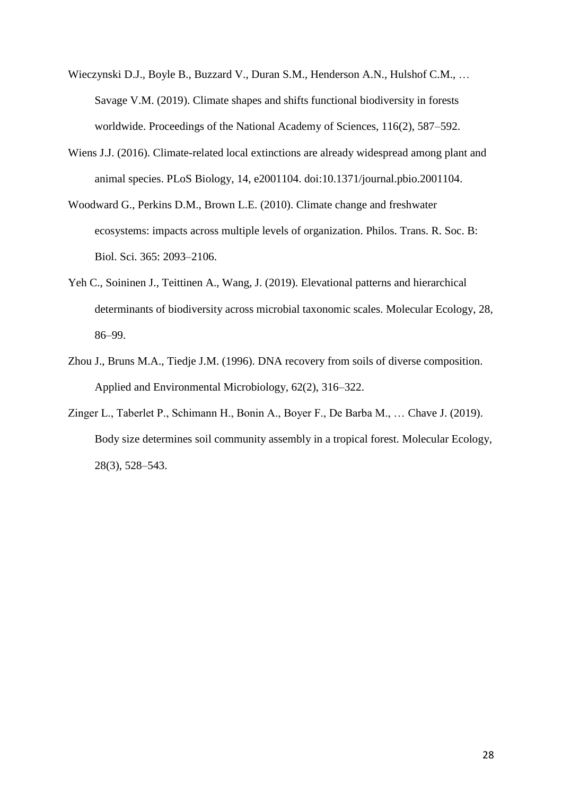- Wieczynski D.J., Boyle B., Buzzard V., Duran S.M., Henderson A.N., Hulshof C.M., … Savage V.M. (2019). Climate shapes and shifts functional biodiversity in forests worldwide. Proceedings of the National Academy of Sciences, 116(2), 587–592.
- Wiens J.J. (2016). Climate-related local extinctions are already widespread among plant and animal species. PLoS Biology, 14, e2001104. doi:10.1371/journal.pbio.2001104.
- Woodward G., Perkins D.M., Brown L.E. (2010). Climate change and freshwater ecosystems: impacts across multiple levels of organization. Philos. Trans. R. Soc. B: Biol. Sci. 365: 2093–2106.
- Yeh C., Soininen J., Teittinen A., Wang, J. (2019). Elevational patterns and hierarchical determinants of biodiversity across microbial taxonomic scales. Molecular Ecology, 28, 86–99.
- Zhou J., Bruns M.A., Tiedje J.M. (1996). DNA recovery from soils of diverse composition. Applied and Environmental Microbiology, 62(2), 316–322.
- Zinger L., Taberlet P., Schimann H., Bonin A., Boyer F., De Barba M., … Chave J. (2019). Body size determines soil community assembly in a tropical forest. Molecular Ecology, 28(3), 528–543.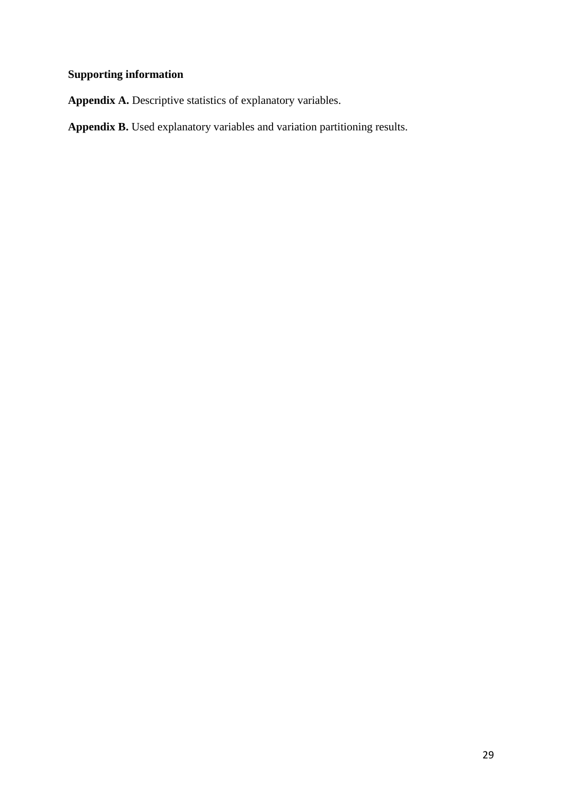## **Supporting information**

**Appendix A.** Descriptive statistics of explanatory variables.

**Appendix B.** Used explanatory variables and variation partitioning results.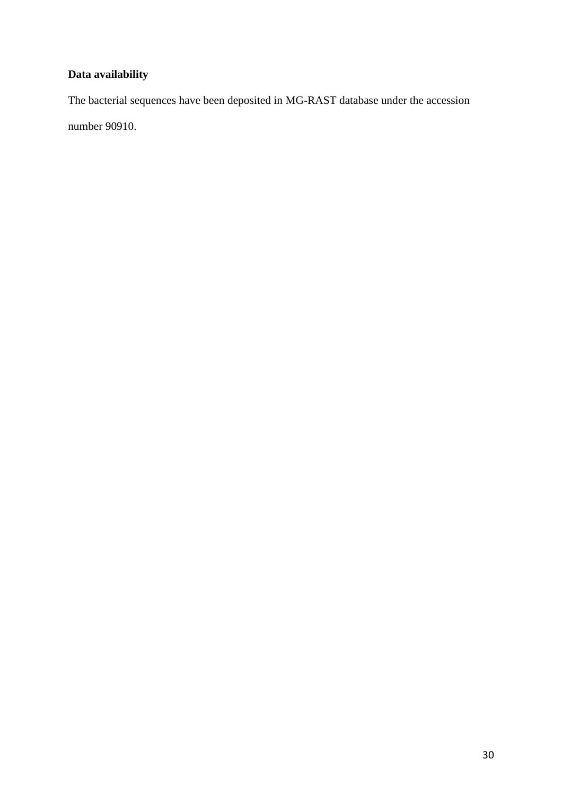## **Data availability**

The bacterial sequences have been deposited in MG-RAST database under the accession

number 90910.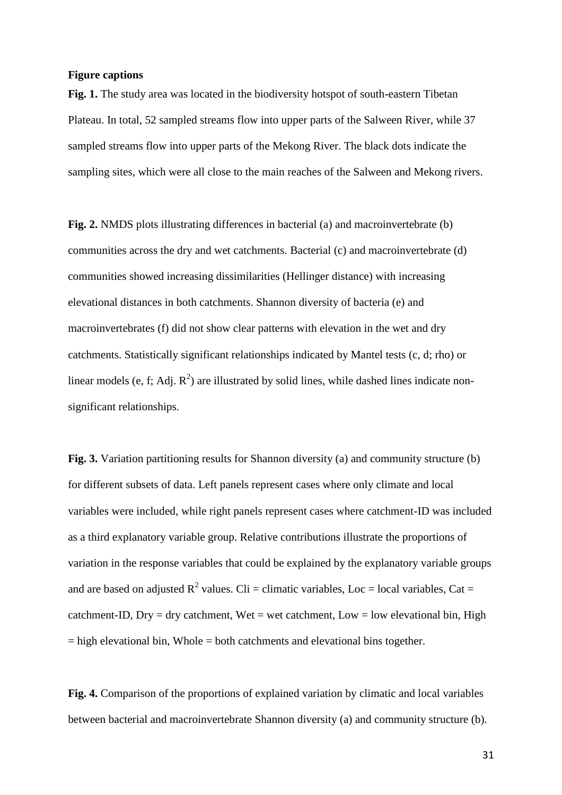#### **Figure captions**

**Fig. 1.** The study area was located in the biodiversity hotspot of south-eastern Tibetan Plateau. In total, 52 sampled streams flow into upper parts of the Salween River, while 37 sampled streams flow into upper parts of the Mekong River. The black dots indicate the sampling sites, which were all close to the main reaches of the Salween and Mekong rivers.

**Fig. 2.** NMDS plots illustrating differences in bacterial (a) and macroinvertebrate (b) communities across the dry and wet catchments. Bacterial (c) and macroinvertebrate (d) communities showed increasing dissimilarities (Hellinger distance) with increasing elevational distances in both catchments. Shannon diversity of bacteria (e) and macroinvertebrates (f) did not show clear patterns with elevation in the wet and dry catchments. Statistically significant relationships indicated by Mantel tests (c, d; rho) or linear models (e, f; Adj.  $R^2$ ) are illustrated by solid lines, while dashed lines indicate nonsignificant relationships.

**Fig. 3.** Variation partitioning results for Shannon diversity (a) and community structure (b) for different subsets of data. Left panels represent cases where only climate and local variables were included, while right panels represent cases where catchment-ID was included as a third explanatory variable group. Relative contributions illustrate the proportions of variation in the response variables that could be explained by the explanatory variable groups and are based on adjusted  $R^2$  values. Cli = climatic variables, Loc = local variables, Cat = catchment-ID, Dry = dry catchment, Wet = wet catchment, Low = low elevational bin, High  $=$  high elevational bin, Whole  $=$  both catchments and elevational bins together.

**Fig. 4.** Comparison of the proportions of explained variation by climatic and local variables between bacterial and macroinvertebrate Shannon diversity (a) and community structure (b).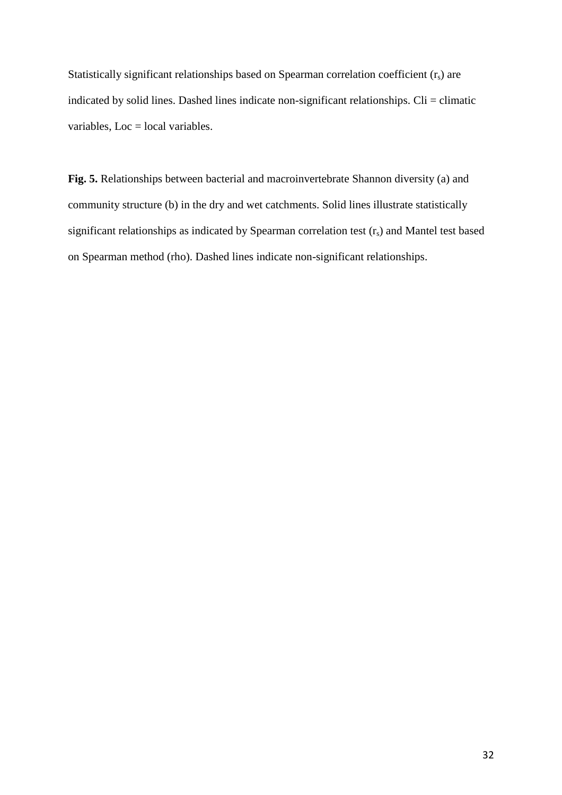Statistically significant relationships based on Spearman correlation coefficient  $(r<sub>s</sub>)$  are indicated by solid lines. Dashed lines indicate non-significant relationships.  $\text{Ci} = \text{climate}$ variables, Loc = local variables.

**Fig. 5.** Relationships between bacterial and macroinvertebrate Shannon diversity (a) and community structure (b) in the dry and wet catchments. Solid lines illustrate statistically significant relationships as indicated by Spearman correlation test  $(r_s)$  and Mantel test based on Spearman method (rho). Dashed lines indicate non-significant relationships.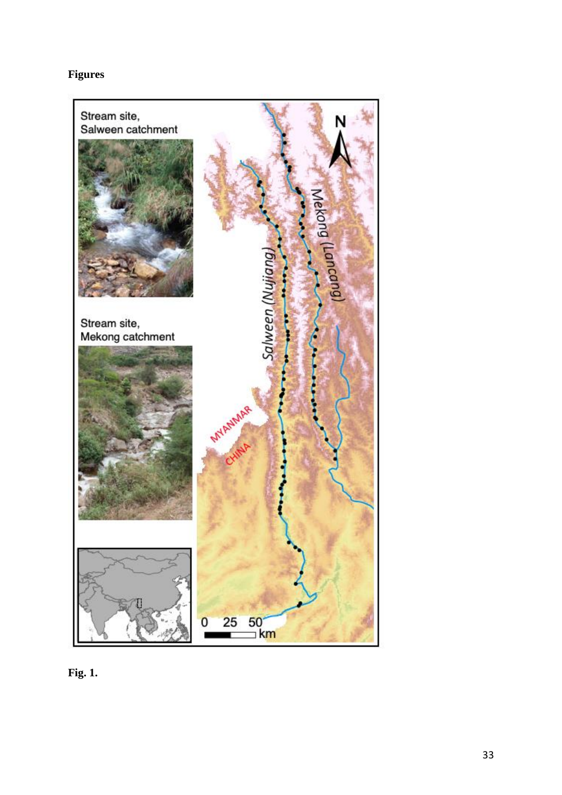# **Figures**



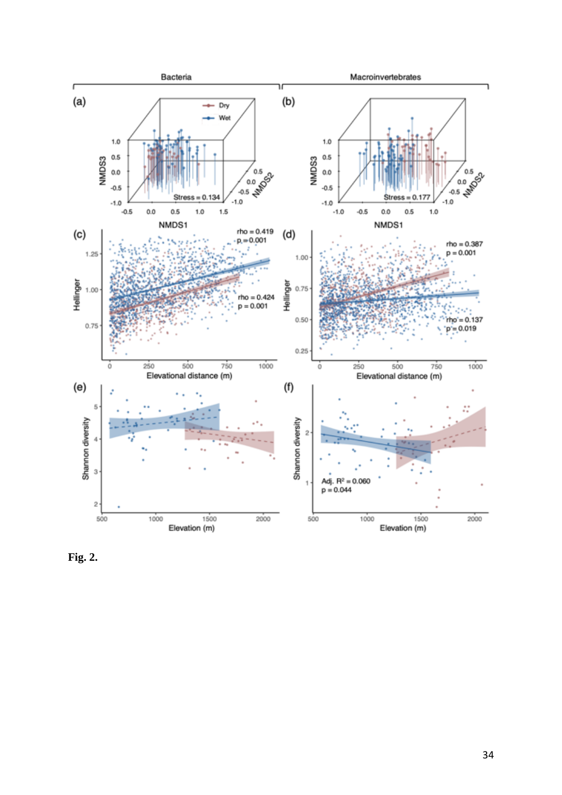

**Fig. 2.**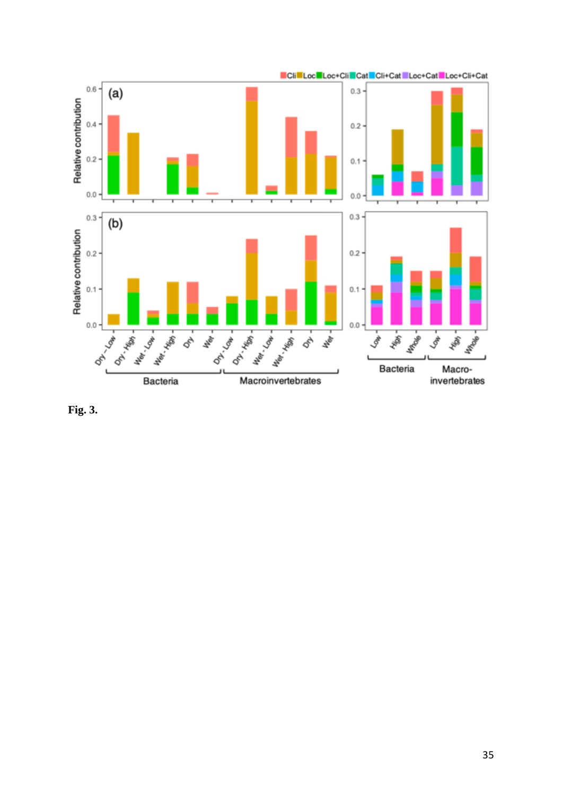

**Fig. 3.**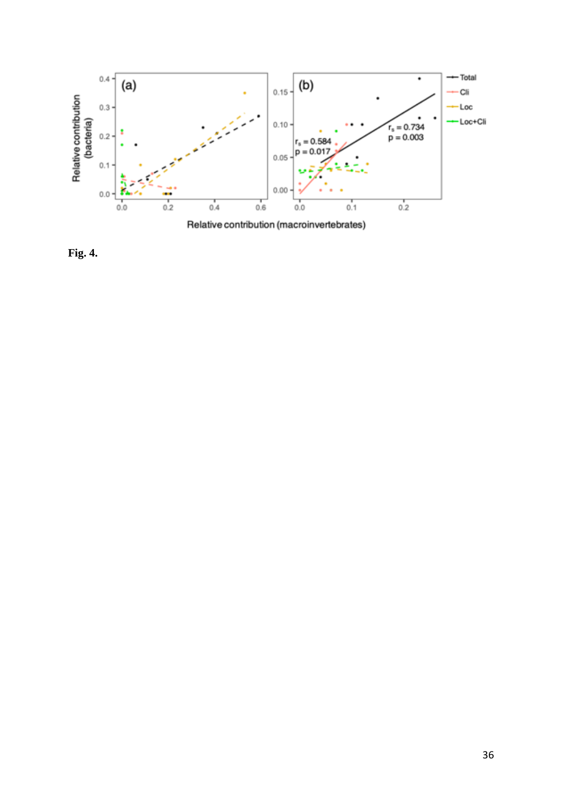

**Fig. 4.**